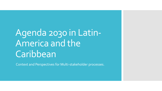## Agenda 2030 in Latin-America and the **Caribbean**

Context and Perspectives for Multi-stakeholder processes.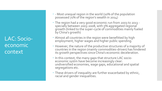LAC: Socioeconomic context

- Most unequal region in the world (10% of the population possessed 71% of the region's wealth in 2014)
- The region had a very good economic run from 2003 to 2013 specially between 2003-2008, with 5% aggregated regional growth (linked to the super-cycle of commodities mainly fueled by China's growth)
- Almost all countries in the region were benefitted by high employment, higher wages and higher public spending.
- However, the nature of the productive structures of a majority of countries in the region (mainly commodities-driven) has hindered its growth perspectives since China's economic deceleration.
- $\cdot$  In this context, the many gaps that structure LAC socioeconomic systm have become increasingly clear: undiversified economies, wage gaps, educational and spatial segregations etc.
- These drivers of inequality are further exacerbated by ethnic, racial and gender inequalities.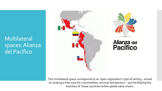Multilateral spaces: Alianza del Pacifico



This multilateral space corresponds to an 'open regionalism' type of setting – aimed at creating a free zone for commodities, services and persons – and facilitating the insertion of these countries within global value chains.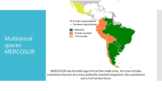Multilateral spaces: MERCOSUR



MERCOSUR was founded 1991 first as free-trade zone, but now includes institutions that aim at a more politically oriented integration, like a parlament and a Civil society forum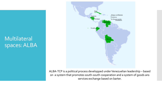Multilateral spaces: ALBA



ALBA-TCP is a political process developped underVenezuelian leadership – based on a system that promotes south-south cooperation and a system of goods ans services exchange based on barter.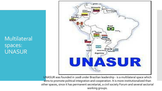Multilateral spaces: UNASUR



UNASUR was founded in 2008 under Brazilian leadership - is a multilateral space which aims to promote political integration and cooperation. It is more institutionalized than other spaces, since it has permanent secretariat, a civil society Forum and several sectorial working groups.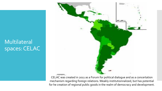## Multilateral spaces: CELAC



CELAC was created in 2011 as a Forum for political dialogue and as a concertation mechanism regarding foreign relations. Weakly institutionnalized, but has potential for he creation of regional public goods in the realm of democracy and development.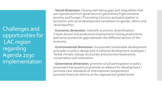Challenges and opportunities for LAC region regarding Agenda 2030 implementation

- **Social dimension**: Closing well-being gaps and inequalities that are reproduced from generation to generation/ Fight extreme poverty and hunger / Promoting inclusion and participation in economic and social development (emphasis on gender, ethnic and racial equality)

- **Economic dimension**: Intensify economic diversification/ Create decent and productive employment/ Closing producitivty and social protection gaps between the different sectors of the economy

- **Environmental dimension**: Incorporate Sustainable development principles in policy-design and in national development strategies / Tackle climate change structuraly and promote biodiversity conservation and restoration

-**Governance dimension:** promote social participation in policy processes/ transparency/ promote an alliance for development / promote new standards of international coooperation/ promote financial reforms at the regional and global levels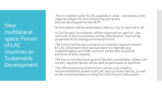**New** multilateral space: Forum of LAC countries on **Sustainable** Development

- .Forum created under ECLAC auspices in 2016 conceived as the regional chapter for the monitoring and review process developped by the HLPF.
- Its first edition will be celebrated in Mexico City on April 26 to 28.
- A Civil Society Consultation will be organized on april 25 the outcome of this consultation will be a Declaration, that will be presented at the Intergovernmental Forum.
- The Forum will be estrucutred around plenary sessions (where ECLAC will present their Annual report on Agenda 2030 implementation and VNR countries will be able to present previews of their reports).
- The Forum will also have several thematic roundtables, where civil society representatives will be able to participate as panelists.
- The official outcome of the Forum will be a set of policy recommendations based on ECLAC and countries reports, as well as the recommendations rising from the Forum's discussions.